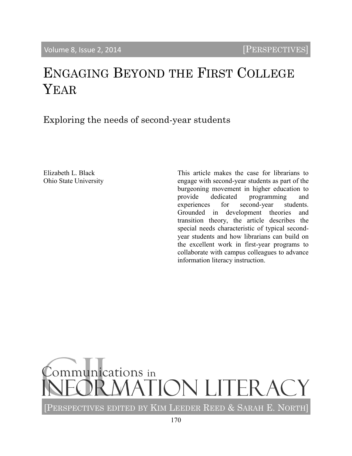# ENGAGING BEYOND THE FIRST COLLEGE YEAR

Exploring the needs of second-year students

Elizabeth L. Black Ohio State University This article makes the case for librarians to engage with second-year students as part of the burgeoning movement in higher education to provide dedicated programming and experiences for second-year students. Grounded in development theories and transition theory, the article describes the special needs characteristic of typical secondyear students and how librarians can build on the excellent work in first-year programs to collaborate with campus colleagues to advance information literacy instruction.

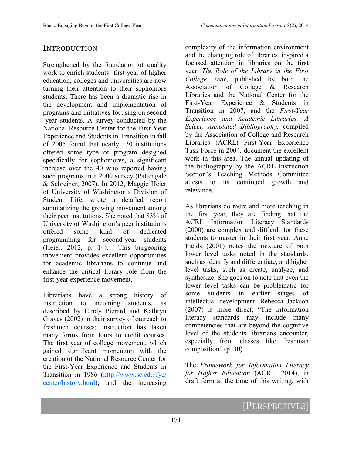## **INTRODUCTION**

Strengthened by the foundation of quality work to enrich students' first year of higher education, colleges and universities are now turning their attention to their sophomore students. There has been a dramatic rise in the development and implementation of programs and initiatives focusing on second -year students. A survey conducted by the National Resource Center for the First-Year Experience and Students in Transition in fall of 2005 found that nearly 130 institutions offered some type of program designed specifically for sophomores, a significant increase over the 40 who reported having such programs in a 2000 survey (Pattengale & Schreiner, 2007). In 2012, Maggie Heier of University of Washington's Division of Student Life, wrote a detailed report summarizing the growing movement among their peer institutions. She noted that 83% of University of Washington's peer institutions offered some kind of dedicated programming for second-year students (Heier, 2012, p. 14). This burgeoning movement provides excellent opportunities for academic librarians to continue and enhance the critical library role from the first-year experience movement.

Librarians have a strong history of instruction to incoming students, as described by Cindy Pierard and Kathryn Graves (2002) in their survey of outreach to freshmen courses; instruction has taken many forms from tours to credit courses. The first year of college movement, which gained significant momentum with the creation of the National Resource Center for the First-Year Experience and Students in Transition in 1986 ([http://www.sc.edu/fye/](http://www.sc.edu/fye/center/history.html) [center/history.html\),](http://www.sc.edu/fye/center/history.html) and the increasing

complexity of the information environment and the changing role of libraries, inspired a focused attention in libraries on the first year. *The Role of the Library in the First College Year*, published by both the Association of College & Research Libraries and the National Center for the First-Year Experience & Students in Transition in 2007, and the *First-Year Experience and Academic Libraries: A Select, Annotated Bibliography*, compiled by the Association of College and Research Libraries (ACRL) First-Year Experience Task Force in 2004, document the excellent work in this area. The annual updating of the bibliography by the ACRL Instruction Section's Teaching Methods Committee attests to its continued growth and relevance.

As librarians do more and more teaching in the first year, they are finding that the ACRL Information Literacy Standards (2000) are complex and difficult for these students to master in their first year. Anne Fields (2001) notes the mixture of both lower level tasks noted in the standards, such as identify and differentiate, and higher level tasks, such as create, analyze, and synthesize. She goes on to note that even the lower level tasks can be problematic for some students in earlier stages of intellectual development. Rebecca Jackson (2007) is more direct, "The information literacy standards may include many competencies that are beyond the cognitive level of the students librarians encounter, especially from classes like freshman composition" (p. 30).

The *Framework for Information Literacy for Higher Education* (ACRL, 2014), in draft form at the time of this writing, with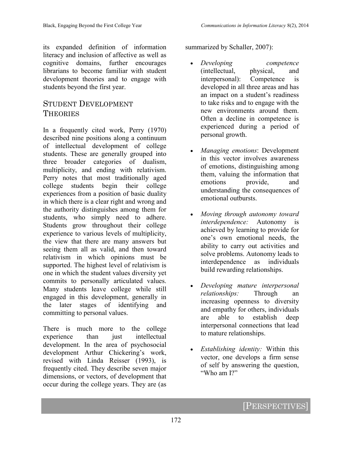its expanded definition of information literacy and inclusion of affective as well as cognitive domains, further encourages librarians to become familiar with student development theories and to engage with students beyond the first year.

### STUDENT DEVELOPMENT **THEORIES**

In a frequently cited work, Perry (1970) described nine positions along a continuum of intellectual development of college students. These are generally grouped into three broader categories of dualism, multiplicity, and ending with relativism. Perry notes that most traditionally aged college students begin their college experiences from a position of basic duality in which there is a clear right and wrong and the authority distinguishes among them for students, who simply need to adhere. Students grow throughout their college experience to various levels of multiplicity, the view that there are many answers but seeing them all as valid, and then toward relativism in which opinions must be supported. The highest level of relativism is one in which the student values diversity yet commits to personally articulated values. Many students leave college while still engaged in this development, generally in the later stages of identifying and committing to personal values.

There is much more to the college experience than just intellectual development. In the area of psychosocial development Arthur Chickering's work, revised with Linda Reisser (1993), is frequently cited. They describe seven major dimensions, or vectors, of development that occur during the college years. They are (as

summarized by Schaller, 2007):

- *Developing competence* (intellectual, physical, and interpersonal): Competence is developed in all three areas and has an impact on a student's readiness to take risks and to engage with the new environments around them. Often a decline in competence is experienced during a period of personal growth.
- *Managing emotions*: Development in this vector involves awareness of emotions, distinguishing among them, valuing the information that emotions provide, and understanding the consequences of emotional outbursts.
- *Moving through autonomy toward interdependence:* Autonomy is achieved by learning to provide for one's own emotional needs, the ability to carry out activities and solve problems. Autonomy leads to interdependence as individuals build rewarding relationships.
- *Developing mature interpersonal relationships:* Through an increasing openness to diversity and empathy for others, individuals are able to establish deep interpersonal connections that lead to mature relationships.
- *Establishing identity:* Within this vector, one develops a firm sense of self by answering the question, "Who am I?"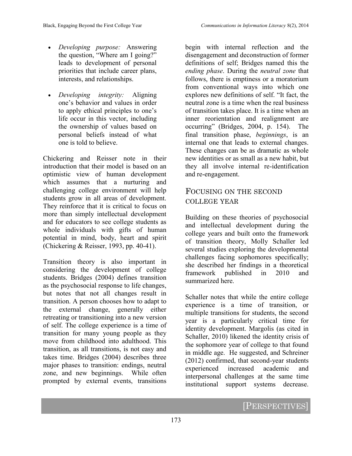- *Developing purpose:* Answering the question, "Where am I going?" leads to development of personal priorities that include career plans, interests, and relationships.
- *Developing integrity:* Aligning one's behavior and values in order to apply ethical principles to one's life occur in this vector, including the ownership of values based on personal beliefs instead of what one is told to believe.

Chickering and Reisser note in their introduction that their model is based on an optimistic view of human development which assumes that a nurturing and challenging college environment will help students grow in all areas of development. They reinforce that it is critical to focus on more than simply intellectual development and for educators to see college students as whole individuals with gifts of human potential in mind, body, heart and spirit (Chickering & Reisser, 1993, pp. 40-41).

Transition theory is also important in considering the development of college students. Bridges (2004) defines transition as the psychosocial response to life changes, but notes that not all changes result in transition. A person chooses how to adapt to the external change, generally either retreating or transitioning into a new version of self. The college experience is a time of transition for many young people as they move from childhood into adulthood. This transition, as all transitions, is not easy and takes time. Bridges (2004) describes three major phases to transition: endings, neutral zone, and new beginnings. While often prompted by external events, transitions

begin with internal reflection and the disengagement and deconstruction of former definitions of self; Bridges named this the *ending phase*. During the *neutral zone* that follows, there is emptiness or a moratorium from conventional ways into which one explores new definitions of self. "It fact, the neutral zone is a time when the real business of transition takes place. It is a time when an inner reorientation and realignment are occurring" (Bridges, 2004, p. 154). The final transition phase, *beginnings*, is an internal one that leads to external changes. These changes can be as dramatic as whole new identities or as small as a new habit, but they all involve internal re-identification and re-engagement.

## FOCUSING ON THE SECOND COLLEGE YEAR

Building on these theories of psychosocial and intellectual development during the college years and built onto the framework of transition theory, Molly Schaller led several studies exploring the developmental challenges facing sophomores specifically; she described her findings in a theoretical framework published in 2010 and summarized here.

Schaller notes that while the entire college experience is a time of transition, or multiple transitions for students, the second year is a particularly critical time for identity development. Margolis (as cited in Schaller, 2010) likened the identity crisis of the sophomore year of college to that found in middle age. He suggested, and Schreiner (2012) confirmed, that second-year students experienced increased academic and interpersonal challenges at the same time institutional support systems decrease.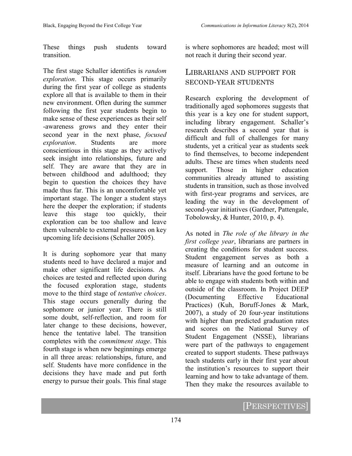These things push students toward transition.

The first stage Schaller identifies is *random exploration*. This stage occurs primarily during the first year of college as students explore all that is available to them in their new environment. Often during the summer following the first year students begin to make sense of these experiences as their self -awareness grows and they enter their second year in the next phase, *focused exploration*. Students are more conscientious in this stage as they actively seek insight into relationships, future and self. They are aware that they are in between childhood and adulthood; they begin to question the choices they have made thus far. This is an uncomfortable yet important stage. The longer a student stays here the deeper the exploration; if students leave this stage too quickly, their exploration can be too shallow and leave them vulnerable to external pressures on key upcoming life decisions (Schaller 2005).

It is during sophomore year that many students need to have declared a major and make other significant life decisions. As choices are tested and reflected upon during the focused exploration stage, students move to the third stage of *tentative choices*. This stage occurs generally during the sophomore or junior year. There is still some doubt, self-reflection, and room for later change to these decisions, however, hence the tentative label. The transition completes with the *commitment stage*. This fourth stage is when new beginnings emerge in all three areas: relationships, future, and self. Students have more confidence in the decisions they have made and put forth energy to pursue their goals. This final stage

is where sophomores are headed; most will not reach it during their second year.

## LIBRARIANS AND SUPPORT FOR SECOND-YEAR STUDENTS

Research exploring the development of traditionally aged sophomores suggests that this year is a key one for student support, including library engagement. Schaller's research describes a second year that is difficult and full of challenges for many students, yet a critical year as students seek to find themselves, to become independent adults. These are times when students need support. Those in higher education communities already attuned to assisting students in transition, such as those involved with first-year programs and services, are leading the way in the development of second-year initiatives (Gardner, Pattengale, Tobolowsky, & Hunter, 2010, p. 4).

As noted in *The role of the library in the first college year*, librarians are partners in creating the conditions for student success. Student engagement serves as both a measure of learning and an outcome in itself. Librarians have the good fortune to be able to engage with students both within and outside of the classroom. In Project DEEP (Documenting Effective Educational Practices) (Kuh, Boruff-Jones & Mark, 2007), a study of 20 four-year institutions with higher than predicted graduation rates and scores on the National Survey of Student Engagement (NSSE), librarians were part of the pathways to engagement created to support students. These pathways teach students early in their first year about the institution's resources to support their learning and how to take advantage of them. Then they make the resources available to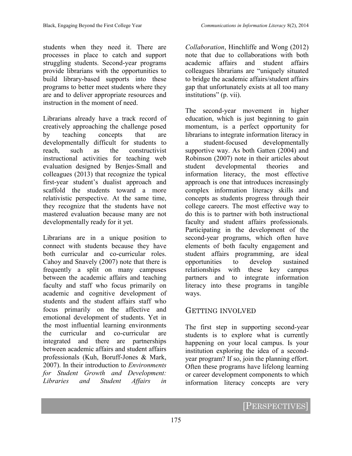students when they need it. There are processes in place to catch and support struggling students. Second-year programs provide librarians with the opportunities to build library-based supports into these programs to better meet students where they are and to deliver appropriate resources and instruction in the moment of need.

Librarians already have a track record of creatively approaching the challenge posed by teaching concepts that are developmentally difficult for students to reach, such as the constructivist instructional activities for teaching web evaluation designed by Benjes-Small and colleagues (2013) that recognize the typical first-year student's dualist approach and scaffold the students toward a more relativistic perspective. At the same time, they recognize that the students have not mastered evaluation because many are not developmentally ready for it yet.

Librarians are in a unique position to connect with students because they have both curricular and co-curricular roles. Cahoy and Snavely (2007) note that there is frequently a split on many campuses between the academic affairs and teaching faculty and staff who focus primarily on academic and cognitive development of students and the student affairs staff who focus primarily on the affective and emotional development of students. Yet in the most influential learning environments the curricular and co-curricular are integrated and there are partnerships between academic affairs and student affairs professionals (Kuh, Boruff-Jones & Mark, 2007). In their introduction to *Environments for Student Growth and Development: Libraries and Student Affairs in* 

*Collaboration*, Hinchliffe and Wong (2012) note that due to collaborations with both academic affairs and student affairs colleagues librarians are "uniquely situated to bridge the academic affairs/student affairs gap that unfortunately exists at all too many institutions" (p. vii).

The second-year movement in higher education, which is just beginning to gain momentum, is a perfect opportunity for librarians to integrate information literacy in a student-focused developmentally supportive way. As both Gatten (2004) and Robinson (2007) note in their articles about student developmental theories and information literacy, the most effective approach is one that introduces increasingly complex information literacy skills and concepts as students progress through their college careers. The most effective way to do this is to partner with both instructional faculty and student affairs professionals. Participating in the development of the second-year programs, which often have elements of both faculty engagement and student affairs programming, are ideal opportunities to develop sustained relationships with these key campus partners and to integrate information literacy into these programs in tangible ways.

#### GETTING INVOLVED

The first step in supporting second-year students is to explore what is currently happening on your local campus. Is your institution exploring the idea of a secondyear program? If so, join the planning effort. Often these programs have lifelong learning or career development components to which information literacy concepts are very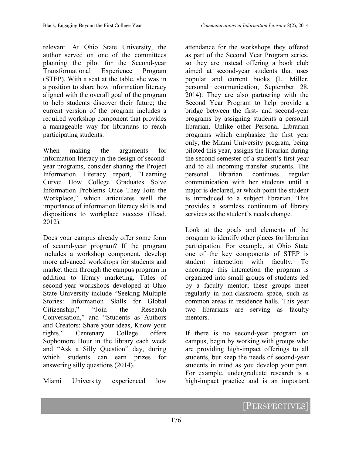relevant. At Ohio State University, the author served on one of the committees planning the pilot for the Second-year Transformational Experience Program (STEP). With a seat at the table, she was in a position to share how information literacy aligned with the overall goal of the program to help students discover their future; the current version of the program includes a required workshop component that provides a manageable way for librarians to reach participating students.

When making the arguments for information literacy in the design of secondyear programs, consider sharing the Project Information Literacy report, "Learning Curve: How College Graduates Solve Information Problems Once They Join the Workplace," which articulates well the importance of information literacy skills and dispositions to workplace success (Head, 2012).

Does your campus already offer some form of second-year program? If the program includes a workshop component, develop more advanced workshops for students and market them through the campus program in addition to library marketing. Titles of second-year workshops developed at Ohio State University include "Seeking Multiple Stories: Information Skills for Global Citizenship," "Join the Research Conversation," and "Students as Authors and Creators: Share your ideas, Know your rights." Centenary College offers Sophomore Hour in the library each week and "Ask a Silly Question" day, during which students can earn prizes for answering silly questions (2014).

Miami University experienced low

attendance for the workshops they offered as part of the Second Year Program series, so they are instead offering a book club aimed at second-year students that uses popular and current books (L. Miller, personal communication, September 28, 2014). They are also partnering with the Second Year Program to help provide a bridge between the first- and second-year programs by assigning students a personal librarian. Unlike other Personal Librarian programs which emphasize the first year only, the Miami University program, being piloted this year, assigns the librarian during the second semester of a student's first year and to all incoming transfer students. The personal librarian continues regular communication with her students until a major is declared, at which point the student is introduced to a subject librarian. This provides a seamless continuum of library services as the student's needs change.

Look at the goals and elements of the program to identify other places for librarian participation. For example, at Ohio State one of the key components of STEP is student interaction with faculty. To encourage this interaction the program is organized into small groups of students led by a faculty mentor; these groups meet regularly in non-classroom space, such as common areas in residence halls. This year two librarians are serving as faculty mentors.

If there is no second-year program on campus, begin by working with groups who are providing high-impact offerings to all students, but keep the needs of second-year students in mind as you develop your part. For example, undergraduate research is a high-impact practice and is an important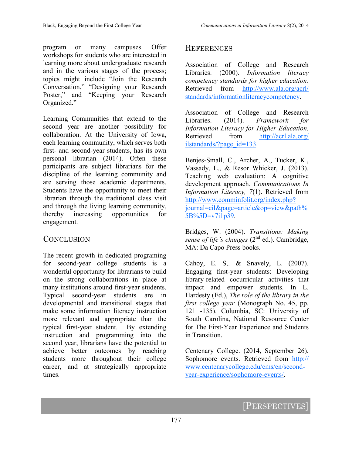program on many campuses. Offer workshops for students who are interested in learning more about undergraduate research and in the various stages of the process; topics might include "Join the Research Conversation," "Designing your Research Poster," and "Keeping your Research Organized."

Learning Communities that extend to the second year are another possibility for collaboration. At the University of Iowa, each learning community, which serves both first- and second-year students, has its own personal librarian (2014). Often these participants are subject librarians for the discipline of the learning community and are serving those academic departments. Students have the opportunity to meet their librarian through the traditional class visit and through the living learning community, thereby increasing opportunities for engagement.

#### **CONCLUSION**

The recent growth in dedicated programing for second-year college students is a wonderful opportunity for librarians to build on the strong collaborations in place at many institutions around first-year students. Typical second-year students are in developmental and transitional stages that make some information literacy instruction more relevant and appropriate than the typical first-year student. By extending instruction and programming into the second year, librarians have the potential to achieve better outcomes by reaching students more throughout their college career, and at strategically appropriate times.

#### **REFERENCES**

Association of College and Research Libraries. (2000). *Information literacy competency standards for higher education*. Retrieved from [http://www.ala.org/acrl/](http://www.ala.org/acrl/standards/informationliteracycompetency) [standards/informationliteracycompetency.](http://www.ala.org/acrl/standards/informationliteracycompetency)

Association of College and Research Libraries. (2014). *Framework for Information Literacy for Higher Education.*  Retrieved from [http://acrl.ala.org/](http://acrl.ala.org/ilstandards/?page_id=133) ilstandards/?page\_id=133.

Benjes-Small, C., Archer, A., Tucker, K., Vassady, L., & Resor Whicker, J. (2013). Teaching web evaluation: A cognitive development approach. *Communications In Information Literacy, 7*(1). Retrieved from [http://www.comminfolit.org/index.php?](http://www.comminfolit.org/index.php?journal=cil&page=article&op=view&path%5B%5D=v7i1p39) [journal=cil&page=article&op=view&path%](http://www.comminfolit.org/index.php?journal=cil&page=article&op=view&path%5B%5D=v7i1p39) [5B%5D=v7i1p39.](http://www.comminfolit.org/index.php?journal=cil&page=article&op=view&path%5B%5D=v7i1p39)

Bridges, W. (2004). *Transitions: Making sense of life's changes* (2nd ed.). Cambridge, MA: Da Capo Press books.

Cahoy, E. S,. & Snavely, L. (2007). Engaging first-year students: Developing library-related cocurricular activities that impact and empower students. In L. Hardesty (Ed.), *The role of the library in the first college year* (Monograph No. 45, pp. 121 -135). Columbia, SC: University of South Carolina, National Resource Center for The First-Year Experience and Students in Transition.

Centenary College. (2014, September 26). Sophomore events. Retrieved from [http://](http://www.centenarycollege.edu/cms/en/second-year-experience/sophomore-events/) [www.centenarycollege.edu/cms/en/second](http://www.centenarycollege.edu/cms/en/second-year-experience/sophomore-events/)year-[experience/sophomore](http://www.centenarycollege.edu/cms/en/second-year-experience/sophomore-events/)-events/.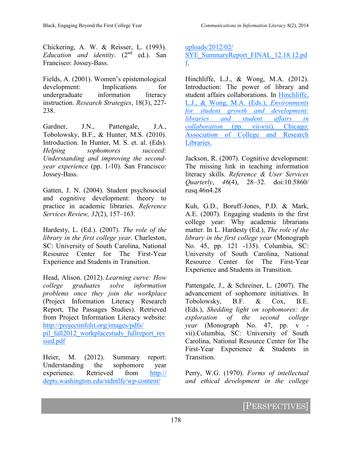Chickering, A. W. & Reisser, L. (1993). *Education and identity*. (2nd ed.). San Francisco: Jossey-Bass.

Fields, A. (2001). Women's epistemological development: Implications for undergraduate information literacy instruction. *Research Strategies*, 18(3), 227- 238.

Gardner, J.N., Pattengale, J.A., Tobolowsky, B.F., & Hunter, M.S. (2010). Introduction. In Hunter, M. S. et. al. (Eds). *Helping sophomores succeed: Understanding and improving the secondyear experience* (pp. 1-10). San Francisco: Jossey-Bass.

Gatten, J. N. (2004). Student psychosocial and cognitive development: theory to practice in academic libraries. *Reference Services Review, 32*(2), 157–163.

Hardesty, L. (Ed.). (2007). *The role of the library in the first college year*. Charleston, SC: University of South Carolina, National Resource Center for The First-Year Experience and Students in Transition.

Head, Alison. (2012). *Learning curve: How college graduates solve information problems once they join the workplace* (Project Information Literacy Research Report, The Passages Studies). Retrieved from Project Information Literacy website: [http://projectinfolit.org/images/pdfs/](http://projectinfolit.org/images/pdfs/pil_fall2012_workplacestudy_fullreport_revised.pdf) [pil\\_fall2012\\_workplacestudy\\_fullreport\\_rev](http://projectinfolit.org/images/pdfs/pil_fall2012_workplacestudy_fullreport_revised.pdf) [ised.pdf](http://projectinfolit.org/images/pdfs/pil_fall2012_workplacestudy_fullreport_revised.pdf)

Heier, M. (2012). Summary report: Understanding the sophomore year experience. Retrieved from [http://](http://depts.washington.edu/stdntlfe/wp-content/uploads/2012/02/SYE_SummaryReport_FINAL_12.18.12.pdf) [depts.washington.edu/stdntlfe/wp](http://depts.washington.edu/stdntlfe/wp-content/uploads/2012/02/SYE_SummaryReport_FINAL_12.18.12.pdf)-content/

[uploads/2012/02/](http://depts.washington.edu/stdntlfe/wp-content/uploads/2012/02/SYE_SummaryReport_FINAL_12.18.12.pdf) [SYE\\_SummaryReport\\_FINAL\\_12.18.12.pd](http://depts.washington.edu/stdntlfe/wp-content/uploads/2012/02/SYE_SummaryReport_FINAL_12.18.12.pdf) [f.](http://depts.washington.edu/stdntlfe/wp-content/uploads/2012/02/SYE_SummaryReport_FINAL_12.18.12.pdf)

Hinchliffe, L.J., & Wong, M.A. (2012). Introduction: The power of library and student affairs collaborations. In Hinchliffe, L.J., & Wong, M.A. (Eds.), *Environments for student growth and development: libraries and student affairs in collaboration* (pp. vii-viii). Chicago: Association of College and Research Libraries.

Jackson, R. (2007). Cognitive development: The missing link in teaching information literacy skills. *Reference & User Services Quarterly*, *46*(4), 28–32. doi:10.5860/ rusq.46n4.28

Kuh, G.D., Boruff-Jones, P.D. & Mark, A.E. (2007). Engaging students in the first college year: Why academic librarians matter. In L. Hardesty (Ed.), *The role of the library in the first college year* (Monograph No. 45, pp. 121 -135). Columbia, SC: University of South Carolina, National Resource Center for The First-Year Experience and Students in Transition.

Pattengale, J., & Schreiner, L. (2007). The advancement of sophomore initiatives. In Tobolowsky, B.F. & Cox, B.E. (Eds.), *Shedding light on sophomores: An exploration of the second college year* (Monograph No. 47, pp. v vii).Columbia, SC: University of South Carolina, National Resource Center for The First-Year Experience & Students in Transition.

Perry, W.G. (1970). *Forms of intellectual and ethical development in the college*